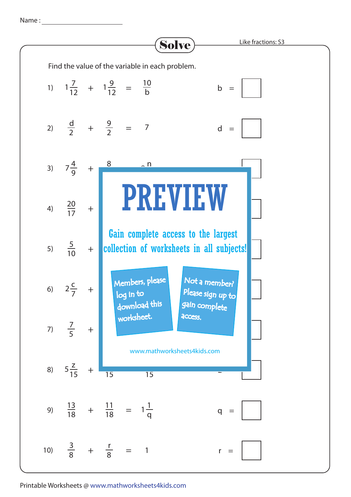